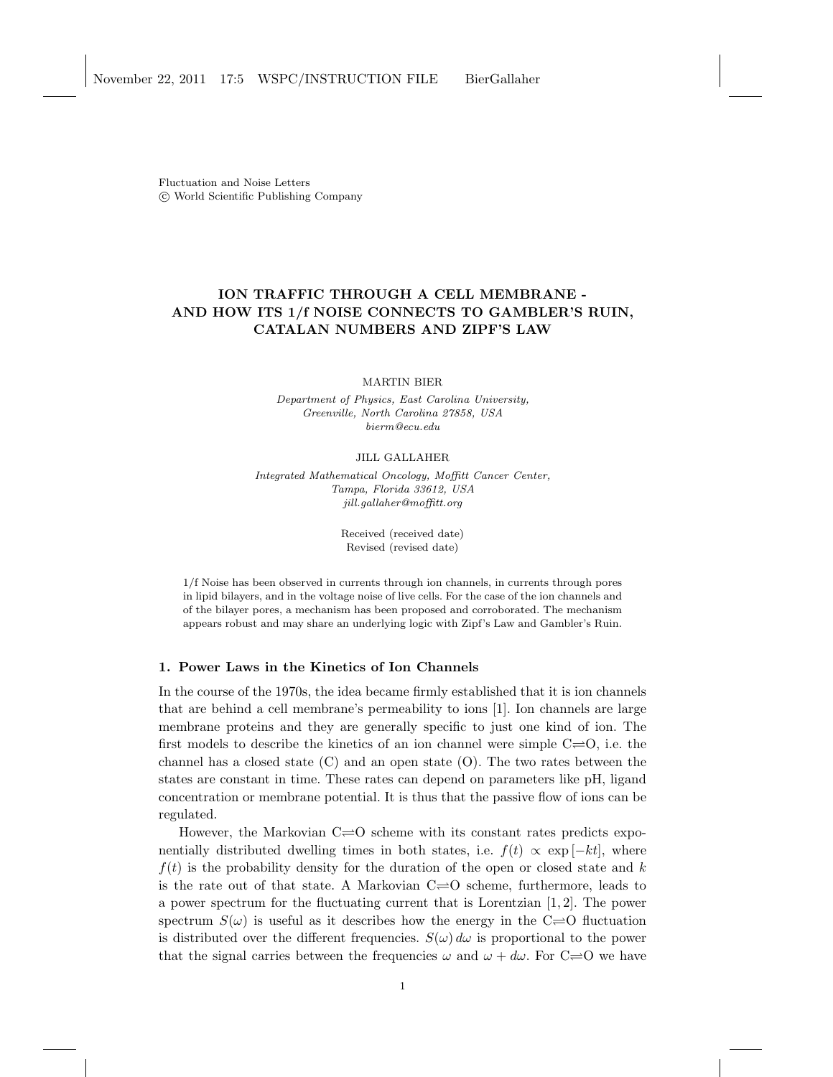Fluctuation and Noise Letters c World Scientific Publishing Company

# ION TRAFFIC THROUGH A CELL MEMBRANE - AND HOW ITS 1/f NOISE CONNECTS TO GAMBLER'S RUIN, CATALAN NUMBERS AND ZIPF'S LAW

MARTIN BIER

Department of Physics, East Carolina University, Greenville, North Carolina 27858, USA bierm@ecu.edu

JILL GALLAHER

Integrated Mathematical Oncology, Moffitt Cancer Center, Tampa, Florida 33612, USA jill.gallaher@moffitt.org

> Received (received date) Revised (revised date)

1/f Noise has been observed in currents through ion channels, in currents through pores in lipid bilayers, and in the voltage noise of live cells. For the case of the ion channels and of the bilayer pores, a mechanism has been proposed and corroborated. The mechanism appears robust and may share an underlying logic with Zipf's Law and Gambler's Ruin.

### 1. Power Laws in the Kinetics of Ion Channels

In the course of the 1970s, the idea became firmly established that it is ion channels that are behind a cell membrane's permeability to ions [1]. Ion channels are large membrane proteins and they are generally specific to just one kind of ion. The first models to describe the kinetics of an ion channel were simple  $C\rightleftharpoons O$ , i.e. the channel has a closed state  $(C)$  and an open state  $(O)$ . The two rates between the states are constant in time. These rates can depend on parameters like pH, ligand concentration or membrane potential. It is thus that the passive flow of ions can be regulated.

However, the Markovian  $C \rightleftharpoons O$  scheme with its constant rates predicts exponentially distributed dwelling times in both states, i.e.  $f(t) \propto \exp[-kt]$ , where  $f(t)$  is the probability density for the duration of the open or closed state and k is the rate out of that state. A Markovian  $C \rightleftharpoons O$  scheme, furthermore, leads to a power spectrum for the fluctuating current that is Lorentzian  $[1, 2]$ . The power spectrum  $S(\omega)$  is useful as it describes how the energy in the C=O fluctuation is distributed over the different frequencies.  $S(\omega) d\omega$  is proportional to the power that the signal carries between the frequencies  $\omega$  and  $\omega + d\omega$ . For C=O we have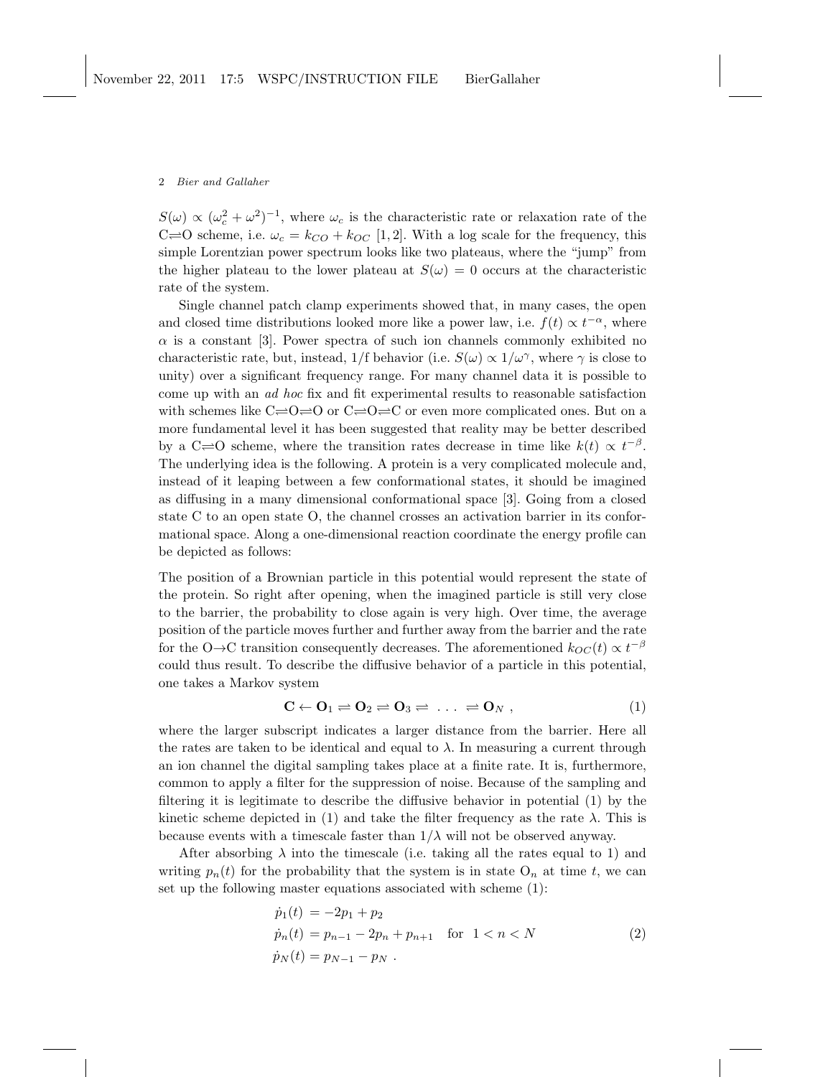$S(\omega) \propto (\omega_c^2 + \omega^2)^{-1}$ , where  $\omega_c$  is the characteristic rate or relaxation rate of the C=O scheme, i.e.  $\omega_c = k_{CO} + k_{OC}$  [1,2]. With a log scale for the frequency, this simple Lorentzian power spectrum looks like two plateaus, where the "jump" from the higher plateau to the lower plateau at  $S(\omega) = 0$  occurs at the characteristic rate of the system.

Single channel patch clamp experiments showed that, in many cases, the open and closed time distributions looked more like a power law, i.e.  $f(t) \propto t^{-\alpha}$ , where  $\alpha$  is a constant [3]. Power spectra of such ion channels commonly exhibited no characteristic rate, but, instead, 1/f behavior (i.e.  $S(\omega) \propto 1/\omega^{\gamma}$ , where  $\gamma$  is close to unity) over a significant frequency range. For many channel data it is possible to come up with an ad hoc fix and fit experimental results to reasonable satisfaction with schemes like  $C \rightleftharpoons Q \rightleftharpoons Q \rightleftharpoons Q \rightleftharpoons C$  or even more complicated ones. But on a more fundamental level it has been suggested that reality may be better described by a C $\rightleftharpoons$ O scheme, where the transition rates decrease in time like  $k(t) \propto t^{-\beta}$ . The underlying idea is the following. A protein is a very complicated molecule and, instead of it leaping between a few conformational states, it should be imagined as diffusing in a many dimensional conformational space [3]. Going from a closed state C to an open state O, the channel crosses an activation barrier in its conformational space. Along a one-dimensional reaction coordinate the energy profile can be depicted as follows:

The position of a Brownian particle in this potential would represent the state of the protein. So right after opening, when the imagined particle is still very close to the barrier, the probability to close again is very high. Over time, the average position of the particle moves further and further away from the barrier and the rate for the O→C transition consequently decreases. The aforementioned  $k_{OC}(t) \propto t^{-\beta}$ could thus result. To describe the diffusive behavior of a particle in this potential, one takes a Markov system

$$
\mathbf{C} \leftarrow \mathbf{O}_1 \rightleftharpoons \mathbf{O}_2 \rightleftharpoons \mathbf{O}_3 \rightleftharpoons \ldots \rightleftharpoons \mathbf{O}_N , \qquad (1)
$$

where the larger subscript indicates a larger distance from the barrier. Here all the rates are taken to be identical and equal to  $\lambda$ . In measuring a current through an ion channel the digital sampling takes place at a finite rate. It is, furthermore, common to apply a filter for the suppression of noise. Because of the sampling and filtering it is legitimate to describe the diffusive behavior in potential (1) by the kinetic scheme depicted in (1) and take the filter frequency as the rate  $\lambda$ . This is because events with a timescale faster than  $1/\lambda$  will not be observed anyway.

After absorbing  $\lambda$  into the timescale (i.e. taking all the rates equal to 1) and writing  $p_n(t)$  for the probability that the system is in state  $O_n$  at time t, we can set up the following master equations associated with scheme (1):

$$
\begin{aligned}\n\dot{p}_1(t) &= -2p_1 + p_2 \\
\dot{p}_n(t) &= p_{n-1} - 2p_n + p_{n+1} \quad \text{for } 1 < n < N \\
\dot{p}_N(t) &= p_{N-1} - p_N .\n\end{aligned} \tag{2}
$$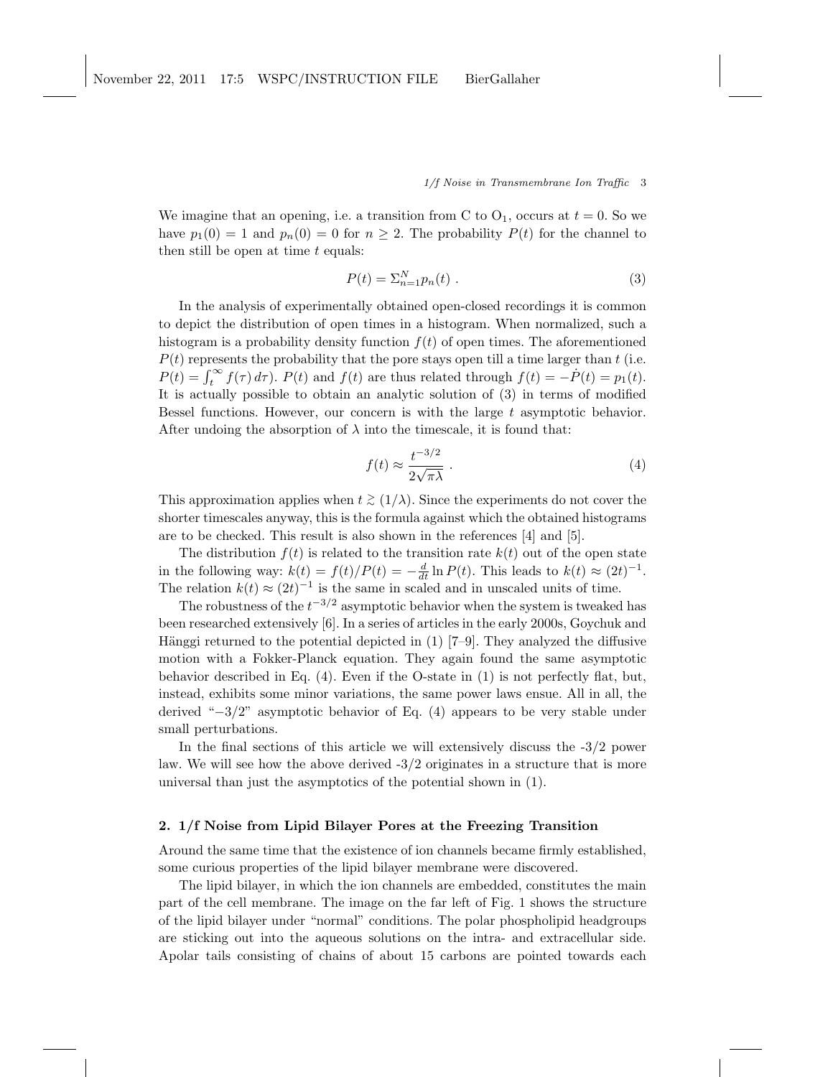We imagine that an opening, i.e. a transition from C to  $O_1$ , occurs at  $t = 0$ . So we have  $p_1(0) = 1$  and  $p_n(0) = 0$  for  $n \geq 2$ . The probability  $P(t)$  for the channel to then still be open at time  $t$  equals:

$$
P(t) = \sum_{n=1}^{N} p_n(t) \tag{3}
$$

In the analysis of experimentally obtained open-closed recordings it is common to depict the distribution of open times in a histogram. When normalized, such a histogram is a probability density function  $f(t)$  of open times. The aforementioned  $P(t)$  represents the probability that the pore stays open till a time larger than t (i.e.  $P(t) = \int_t^{\infty} f(\tau) d\tau$ .  $P(t)$  and  $f(t)$  are thus related through  $f(t) = -\dot{P}(t) = p_1(t)$ . It is actually possible to obtain an analytic solution of (3) in terms of modified Bessel functions. However, our concern is with the large  $t$  asymptotic behavior. After undoing the absorption of  $\lambda$  into the timescale, it is found that:

$$
f(t) \approx \frac{t^{-3/2}}{2\sqrt{\pi\lambda}}\,. \tag{4}
$$

This approximation applies when  $t \geq (1/\lambda)$ . Since the experiments do not cover the shorter timescales anyway, this is the formula against which the obtained histograms are to be checked. This result is also shown in the references [4] and [5].

The distribution  $f(t)$  is related to the transition rate  $k(t)$  out of the open state in the following way:  $k(t) = f(t)/P(t) = -\frac{d}{dt} \ln P(t)$ . This leads to  $k(t) \approx (2t)^{-1}$ . The relation  $k(t) \approx (2t)^{-1}$  is the same in scaled and in unscaled units of time.

The robustness of the  $t^{-3/2}$  asymptotic behavior when the system is tweaked has been researched extensively [6]. In a series of articles in the early 2000s, Goychuk and Hänggi returned to the potential depicted in  $(1)$  [7–9]. They analyzed the diffusive motion with a Fokker-Planck equation. They again found the same asymptotic behavior described in Eq. (4). Even if the O-state in (1) is not perfectly flat, but, instead, exhibits some minor variations, the same power laws ensue. All in all, the derived "−3/2" asymptotic behavior of Eq. (4) appears to be very stable under small perturbations.

In the final sections of this article we will extensively discuss the -3/2 power law. We will see how the above derived  $-3/2$  originates in a structure that is more universal than just the asymptotics of the potential shown in (1).

# 2. 1/f Noise from Lipid Bilayer Pores at the Freezing Transition

Around the same time that the existence of ion channels became firmly established, some curious properties of the lipid bilayer membrane were discovered.

The lipid bilayer, in which the ion channels are embedded, constitutes the main part of the cell membrane. The image on the far left of Fig. 1 shows the structure of the lipid bilayer under "normal" conditions. The polar phospholipid headgroups are sticking out into the aqueous solutions on the intra- and extracellular side. Apolar tails consisting of chains of about 15 carbons are pointed towards each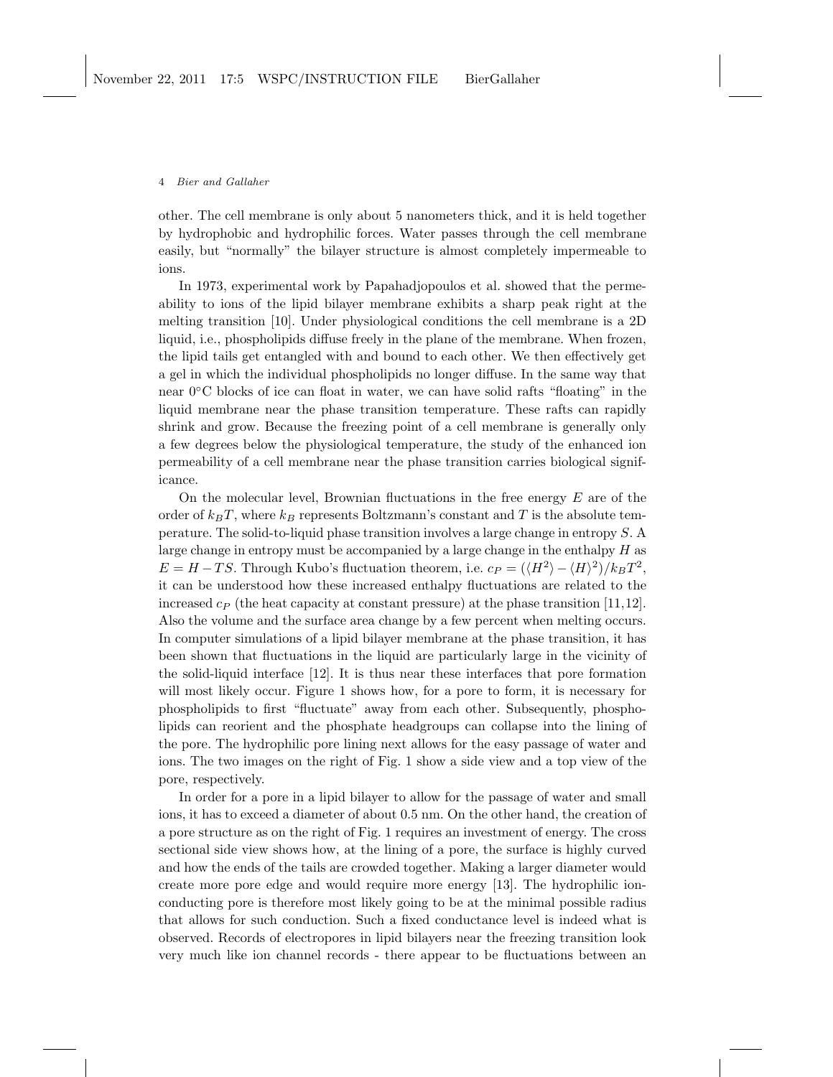other. The cell membrane is only about 5 nanometers thick, and it is held together by hydrophobic and hydrophilic forces. Water passes through the cell membrane easily, but "normally" the bilayer structure is almost completely impermeable to ions.

In 1973, experimental work by Papahadjopoulos et al. showed that the permeability to ions of the lipid bilayer membrane exhibits a sharp peak right at the melting transition [10]. Under physiological conditions the cell membrane is a 2D liquid, i.e., phospholipids diffuse freely in the plane of the membrane. When frozen, the lipid tails get entangled with and bound to each other. We then effectively get a gel in which the individual phospholipids no longer diffuse. In the same way that near 0◦C blocks of ice can float in water, we can have solid rafts "floating" in the liquid membrane near the phase transition temperature. These rafts can rapidly shrink and grow. Because the freezing point of a cell membrane is generally only a few degrees below the physiological temperature, the study of the enhanced ion permeability of a cell membrane near the phase transition carries biological significance.

On the molecular level, Brownian fluctuations in the free energy  $E$  are of the order of  $k_BT$ , where  $k_B$  represents Boltzmann's constant and T is the absolute temperature. The solid-to-liquid phase transition involves a large change in entropy S. A large change in entropy must be accompanied by a large change in the enthalpy  $H$  as  $E = H - TS$ . Through Kubo's fluctuation theorem, i.e.  $c_P = (\langle H^2 \rangle - \langle H \rangle^2)/k_B T^2$ , it can be understood how these increased enthalpy fluctuations are related to the increased  $c_P$  (the heat capacity at constant pressure) at the phase transition [11,12]. Also the volume and the surface area change by a few percent when melting occurs. In computer simulations of a lipid bilayer membrane at the phase transition, it has been shown that fluctuations in the liquid are particularly large in the vicinity of the solid-liquid interface [12]. It is thus near these interfaces that pore formation will most likely occur. Figure 1 shows how, for a pore to form, it is necessary for phospholipids to first "fluctuate" away from each other. Subsequently, phospholipids can reorient and the phosphate headgroups can collapse into the lining of the pore. The hydrophilic pore lining next allows for the easy passage of water and ions. The two images on the right of Fig. 1 show a side view and a top view of the pore, respectively.

In order for a pore in a lipid bilayer to allow for the passage of water and small ions, it has to exceed a diameter of about 0.5 nm. On the other hand, the creation of a pore structure as on the right of Fig. 1 requires an investment of energy. The cross sectional side view shows how, at the lining of a pore, the surface is highly curved and how the ends of the tails are crowded together. Making a larger diameter would create more pore edge and would require more energy [13]. The hydrophilic ionconducting pore is therefore most likely going to be at the minimal possible radius that allows for such conduction. Such a fixed conductance level is indeed what is observed. Records of electropores in lipid bilayers near the freezing transition look very much like ion channel records - there appear to be fluctuations between an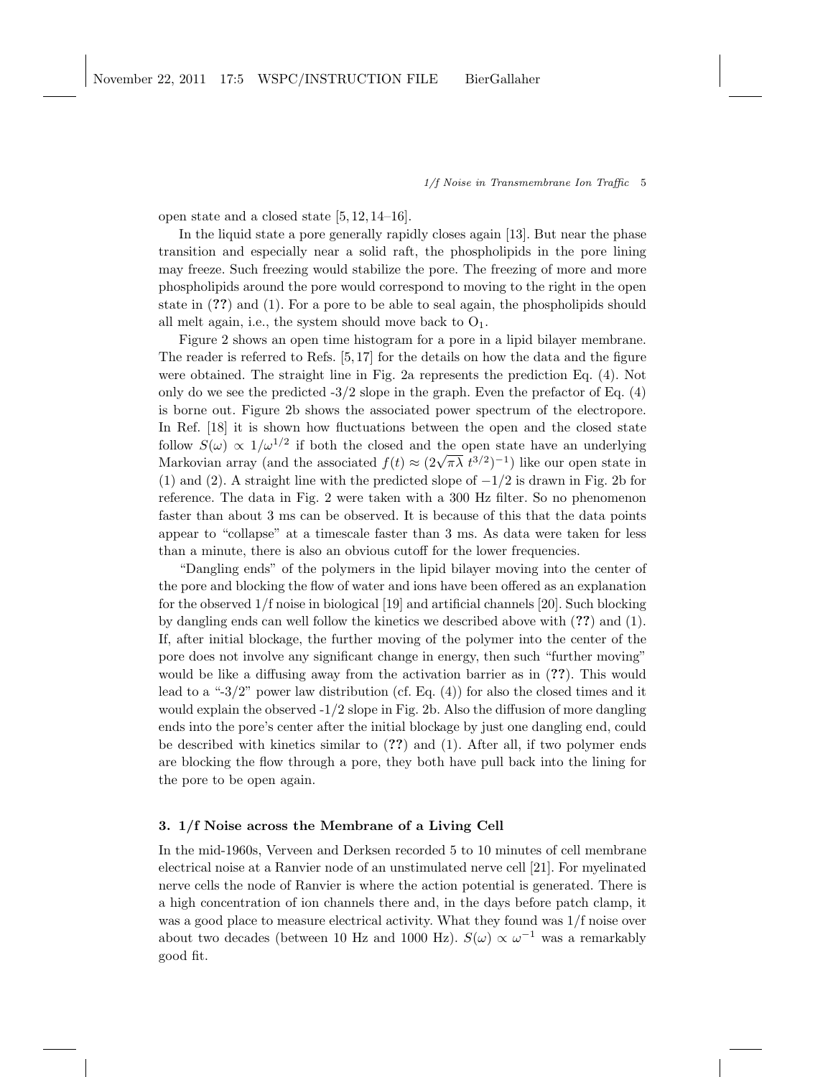open state and a closed state [5, 12, 14–16].

In the liquid state a pore generally rapidly closes again [13]. But near the phase transition and especially near a solid raft, the phospholipids in the pore lining may freeze. Such freezing would stabilize the pore. The freezing of more and more phospholipids around the pore would correspond to moving to the right in the open state in (??) and (1). For a pore to be able to seal again, the phospholipids should all melt again, i.e., the system should move back to  $O_1$ .

Figure 2 shows an open time histogram for a pore in a lipid bilayer membrane. The reader is referred to Refs. [5, 17] for the details on how the data and the figure were obtained. The straight line in Fig. 2a represents the prediction Eq. (4). Not only do we see the predicted  $-3/2$  slope in the graph. Even the prefactor of Eq.  $(4)$ is borne out. Figure 2b shows the associated power spectrum of the electropore. In Ref. [18] it is shown how fluctuations between the open and the closed state follow  $S(\omega) \propto 1/\omega^{1/2}$  if both the closed and the open state have an underlying Markovian array (and the associated  $f(t) \approx (2\sqrt{\pi\lambda} t^{3/2})^{-1}$ ) like our open state in (1) and (2). A straight line with the predicted slope of  $-1/2$  is drawn in Fig. 2b for reference. The data in Fig. 2 were taken with a 300 Hz filter. So no phenomenon faster than about 3 ms can be observed. It is because of this that the data points appear to "collapse" at a timescale faster than 3 ms. As data were taken for less than a minute, there is also an obvious cutoff for the lower frequencies.

"Dangling ends" of the polymers in the lipid bilayer moving into the center of the pore and blocking the flow of water and ions have been offered as an explanation for the observed 1/f noise in biological [19] and artificial channels [20]. Such blocking by dangling ends can well follow the kinetics we described above with (??) and (1). If, after initial blockage, the further moving of the polymer into the center of the pore does not involve any significant change in energy, then such "further moving" would be like a diffusing away from the activation barrier as in (??). This would lead to a "-3/2" power law distribution (cf. Eq.  $(4)$ ) for also the closed times and it would explain the observed -1/2 slope in Fig. 2b. Also the diffusion of more dangling ends into the pore's center after the initial blockage by just one dangling end, could be described with kinetics similar to  $(?)$  and  $(1)$ . After all, if two polymer ends are blocking the flow through a pore, they both have pull back into the lining for the pore to be open again.

# 3. 1/f Noise across the Membrane of a Living Cell

In the mid-1960s, Verveen and Derksen recorded 5 to 10 minutes of cell membrane electrical noise at a Ranvier node of an unstimulated nerve cell [21]. For myelinated nerve cells the node of Ranvier is where the action potential is generated. There is a high concentration of ion channels there and, in the days before patch clamp, it was a good place to measure electrical activity. What they found was 1/f noise over about two decades (between 10 Hz and 1000 Hz).  $S(\omega) \propto \omega^{-1}$  was a remarkably good fit.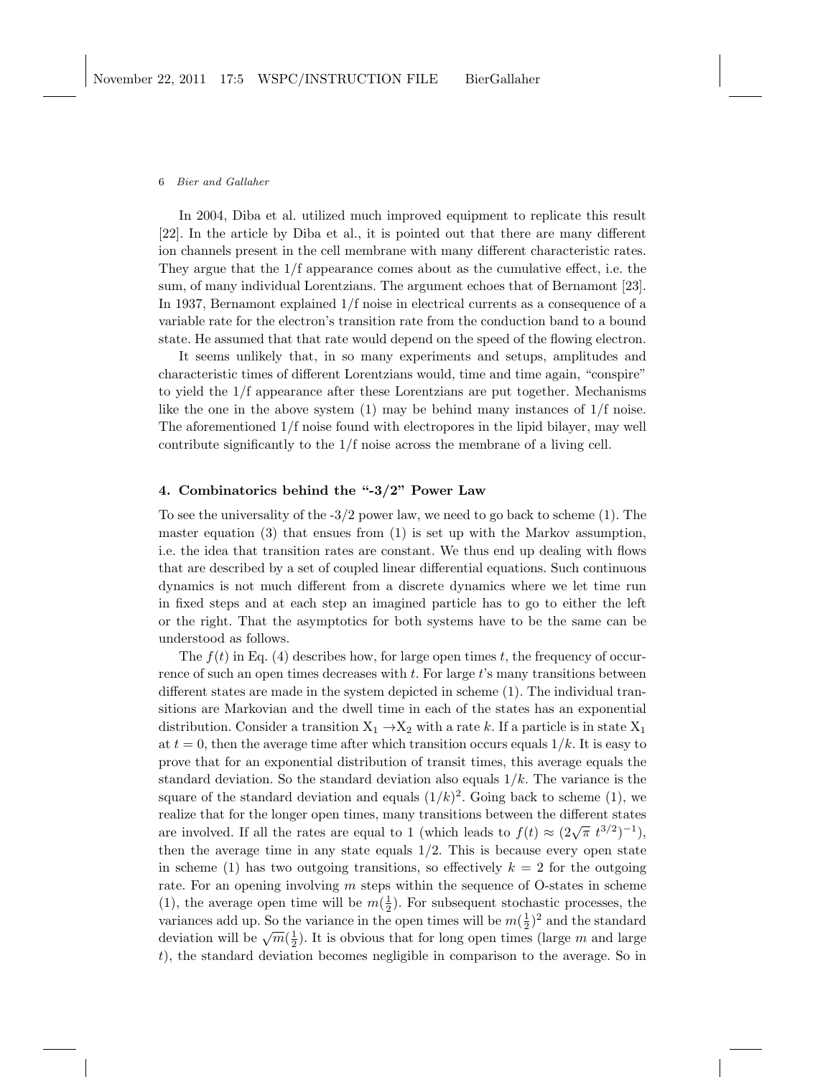In 2004, Diba et al. utilized much improved equipment to replicate this result [22]. In the article by Diba et al., it is pointed out that there are many different ion channels present in the cell membrane with many different characteristic rates. They argue that the  $1/f$  appearance comes about as the cumulative effect, i.e. the sum, of many individual Lorentzians. The argument echoes that of Bernamont [23]. In 1937, Bernamont explained 1/f noise in electrical currents as a consequence of a variable rate for the electron's transition rate from the conduction band to a bound state. He assumed that that rate would depend on the speed of the flowing electron.

It seems unlikely that, in so many experiments and setups, amplitudes and characteristic times of different Lorentzians would, time and time again, "conspire" to yield the 1/f appearance after these Lorentzians are put together. Mechanisms like the one in the above system  $(1)$  may be behind many instances of  $1/f$  noise. The aforementioned 1/f noise found with electropores in the lipid bilayer, may well contribute significantly to the 1/f noise across the membrane of a living cell.

# 4. Combinatorics behind the "-3/2" Power Law

To see the universality of the -3/2 power law, we need to go back to scheme (1). The master equation  $(3)$  that ensues from  $(1)$  is set up with the Markov assumption, i.e. the idea that transition rates are constant. We thus end up dealing with flows that are described by a set of coupled linear differential equations. Such continuous dynamics is not much different from a discrete dynamics where we let time run in fixed steps and at each step an imagined particle has to go to either the left or the right. That the asymptotics for both systems have to be the same can be understood as follows.

The  $f(t)$  in Eq. (4) describes how, for large open times t, the frequency of occurrence of such an open times decreases with  $t$ . For large  $t$ 's many transitions between different states are made in the system depicted in scheme (1). The individual transitions are Markovian and the dwell time in each of the states has an exponential distribution. Consider a transition  $X_1 \rightarrow X_2$  with a rate k. If a particle is in state  $X_1$ at  $t = 0$ , then the average time after which transition occurs equals  $1/k$ . It is easy to prove that for an exponential distribution of transit times, this average equals the standard deviation. So the standard deviation also equals  $1/k$ . The variance is the square of the standard deviation and equals  $(1/k)^2$ . Going back to scheme (1), we realize that for the longer open times, many transitions between the different states are involved. If all the rates are equal to 1 (which leads to  $f(t) \approx (2\sqrt{\pi} t^{3/2})^{-1}$ ), then the average time in any state equals  $1/2$ . This is because every open state in scheme (1) has two outgoing transitions, so effectively  $k = 2$  for the outgoing rate. For an opening involving  $m$  steps within the sequence of O-states in scheme (1), the average open time will be  $m(\frac{1}{2})$ . For subsequent stochastic processes, the variances add up. So the variance in the open times will be  $m(\frac{1}{2})^2$  and the standard variances and up. So the variance in the open times will be  $m(\frac{1}{2})$  and the standard deviation will be  $\sqrt{m}(\frac{1}{2})$ . It is obvious that for long open times (large m and large t), the standard deviation becomes negligible in comparison to the average. So in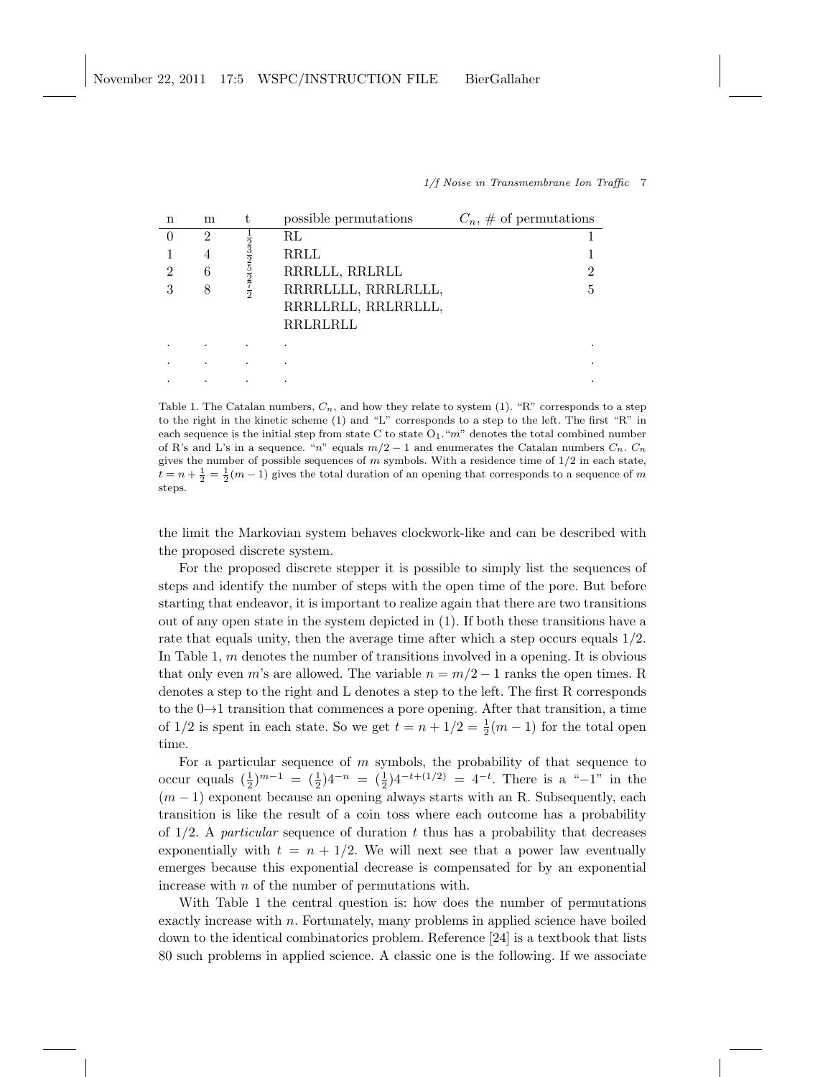| n        | m | t                                                                                   | possible permutations | $C_n, \#$ of permutations |
|----------|---|-------------------------------------------------------------------------------------|-----------------------|---------------------------|
| $\Omega$ | 2 |                                                                                     | $\rm RL$              |                           |
|          | 4 |                                                                                     | <b>RRLL</b>           |                           |
| 2        | 6 | $\frac{1}{2}$ $\frac{3}{2}$ $\frac{3}{2}$ $\frac{5}{2}$ $\frac{7}{2}$ $\frac{7}{2}$ | RRRLLL, RRLRLL        | 2                         |
| 3        | 8 |                                                                                     | RRRRLLLL, RRRLRLLL,   | 5                         |
|          |   |                                                                                     | RRRLLRLL, RRLRRLLL,   |                           |
|          |   |                                                                                     | RRLRLRLL              |                           |
|          |   |                                                                                     |                       |                           |
|          |   |                                                                                     |                       |                           |
|          |   |                                                                                     |                       |                           |

Table 1. The Catalan numbers,  $C_n$ , and how they relate to system (1). "R" corresponds to a step to the right in the kinetic scheme (1) and "L" corresponds to a step to the left. The first "R" in each sequence is the initial step from state C to state  $O_1$ . "m" denotes the total combined number of R's and L's in a sequence. "n" equals  $m/2 - 1$  and enumerates the Catalan numbers  $C_n$ .  $C_n$ gives the number of possible sequences of  $m$  symbols. With a residence time of  $1/2$  in each state,  $t = n + \frac{1}{2} = \frac{1}{2}(m-1)$  gives the total duration of an opening that corresponds to a sequence of m steps.

the limit the Markovian system behaves clockwork-like and can be described with the proposed discrete system.

For the proposed discrete stepper it is possible to simply list the sequences of steps and identify the number of steps with the open time of the pore. But before starting that endeavor, it is important to realize again that there are two transitions out of any open state in the system depicted in (1). If both these transitions have a rate that equals unity, then the average time after which a step occurs equals 1/2. In Table 1, m denotes the number of transitions involved in a opening. It is obvious that only even m's are allowed. The variable  $n = m/2 - 1$  ranks the open times. R denotes a step to the right and L denotes a step to the left. The first R corresponds to the  $0\rightarrow 1$  transition that commences a pore opening. After that transition, a time of  $1/2$  is spent in each state. So we get  $t = n + 1/2 = \frac{1}{2}(m - 1)$  for the total open time.

For a particular sequence of  $m$  symbols, the probability of that sequence to occur equals  $(\frac{1}{2})^{m-1} = (\frac{1}{2})4^{-n} = (\frac{1}{2})4^{-t+(1/2)} = 4^{-t}$ . There is a "-1" in the  $(m-1)$  exponent because an opening always starts with an R. Subsequently, each transition is like the result of a coin toss where each outcome has a probability of  $1/2$ . A *particular* sequence of duration t thus has a probability that decreases exponentially with  $t = n + 1/2$ . We will next see that a power law eventually emerges because this exponential decrease is compensated for by an exponential increase with n of the number of permutations with.

With Table 1 the central question is: how does the number of permutations exactly increase with n. Fortunately, many problems in applied science have boiled down to the identical combinatorics problem. Reference [24] is a textbook that lists 80 such problems in applied science. A classic one is the following. If we associate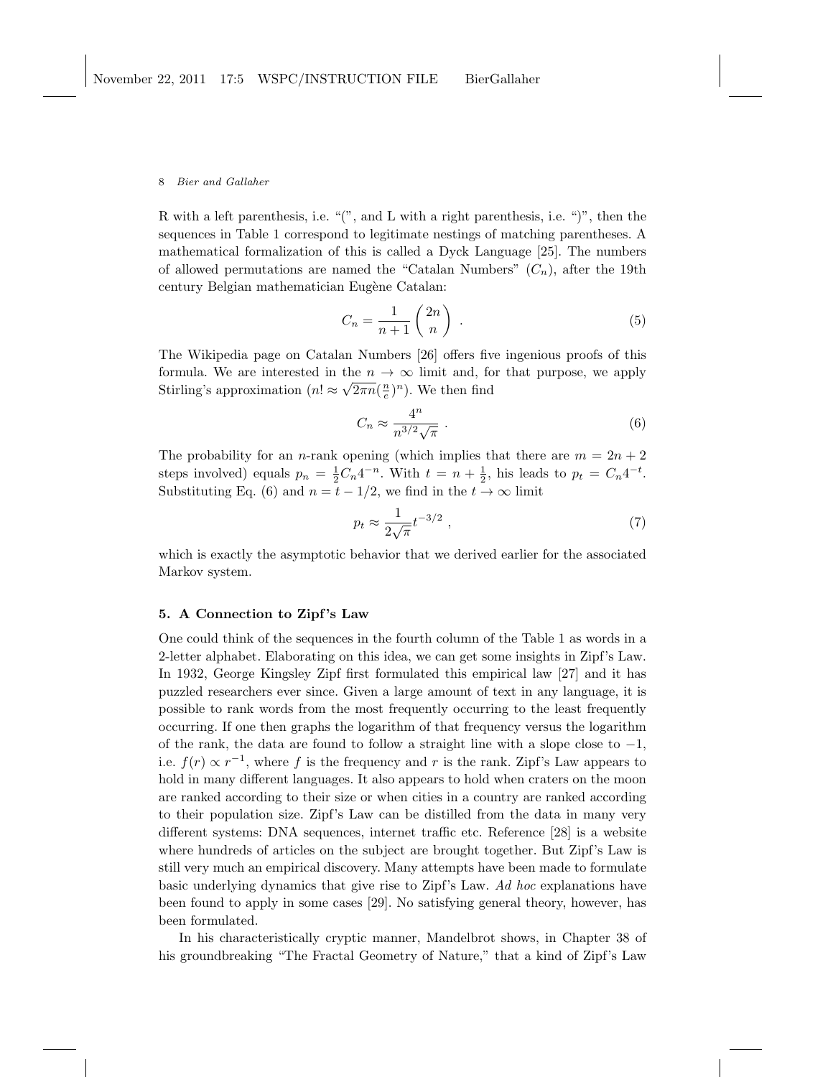R with a left parenthesis, i.e. "(", and L with a right parenthesis, i.e. ")", then the sequences in Table 1 correspond to legitimate nestings of matching parentheses. A mathematical formalization of this is called a Dyck Language [25]. The numbers of allowed permutations are named the "Catalan Numbers"  $(C_n)$ , after the 19th century Belgian mathematician Eugène Catalan:

$$
C_n = \frac{1}{n+1} \binom{2n}{n} . \tag{5}
$$

The Wikipedia page on Catalan Numbers [26] offers five ingenious proofs of this formula. We are interested in the  $n \to \infty$  limit and, for that purpose, we apply Stirling's approximation  $(n! \approx \sqrt{2\pi n}(\frac{n}{e})^n)$ . We then find

$$
C_n \approx \frac{4^n}{n^{3/2}\sqrt{\pi}} \ . \tag{6}
$$

The probability for an *n*-rank opening (which implies that there are  $m = 2n + 2$ steps involved) equals  $p_n = \frac{1}{2}C_n 4^{-n}$ . With  $t = n + \frac{1}{2}$ , his leads to  $p_t = C_n 4^{-t}$ . Substituting Eq. (6) and  $n = t - 1/2$ , we find in the  $t \to \infty$  limit

$$
p_t \approx \frac{1}{2\sqrt{\pi}} t^{-3/2} \tag{7}
$$

which is exactly the asymptotic behavior that we derived earlier for the associated Markov system.

# 5. A Connection to Zipf 's Law

One could think of the sequences in the fourth column of the Table 1 as words in a 2-letter alphabet. Elaborating on this idea, we can get some insights in Zipf's Law. In 1932, George Kingsley Zipf first formulated this empirical law [27] and it has puzzled researchers ever since. Given a large amount of text in any language, it is possible to rank words from the most frequently occurring to the least frequently occurring. If one then graphs the logarithm of that frequency versus the logarithm of the rank, the data are found to follow a straight line with a slope close to  $-1$ , i.e.  $f(r) \propto r^{-1}$ , where f is the frequency and r is the rank. Zipf's Law appears to hold in many different languages. It also appears to hold when craters on the moon are ranked according to their size or when cities in a country are ranked according to their population size. Zipf's Law can be distilled from the data in many very different systems: DNA sequences, internet traffic etc. Reference [28] is a website where hundreds of articles on the subject are brought together. But Zipf's Law is still very much an empirical discovery. Many attempts have been made to formulate basic underlying dynamics that give rise to Zipf's Law. Ad hoc explanations have been found to apply in some cases [29]. No satisfying general theory, however, has been formulated.

In his characteristically cryptic manner, Mandelbrot shows, in Chapter 38 of his groundbreaking "The Fractal Geometry of Nature," that a kind of Zipf's Law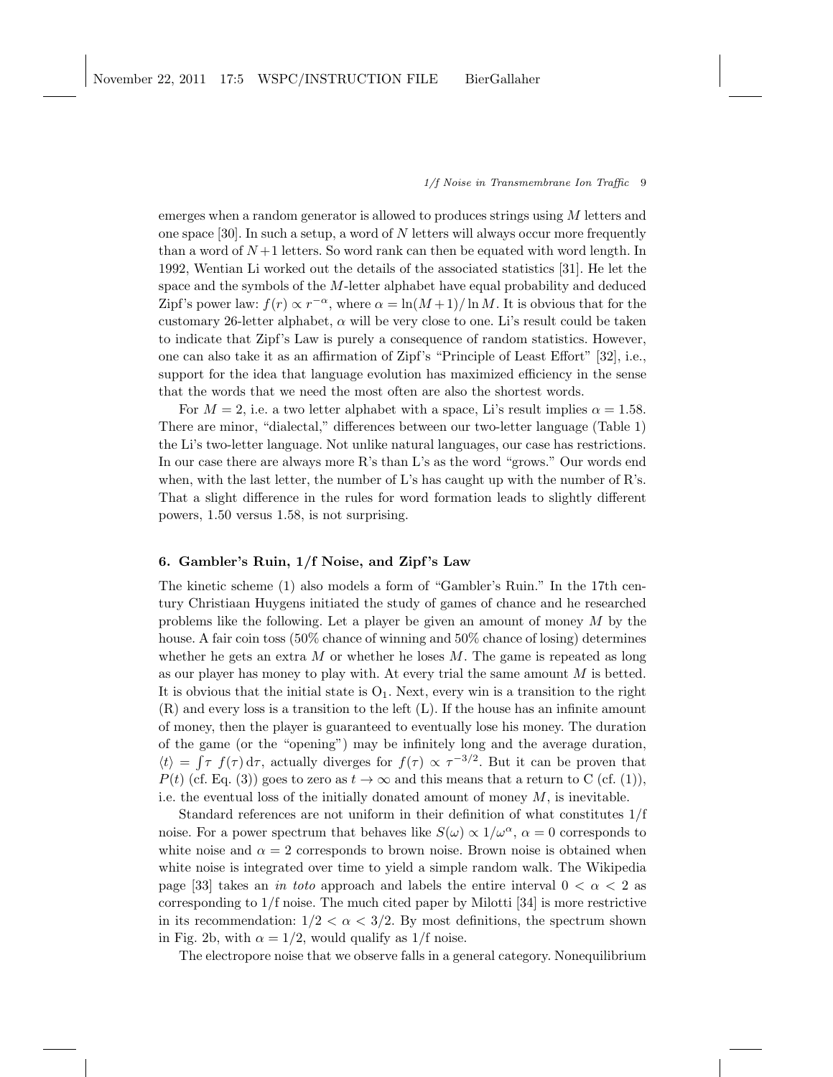emerges when a random generator is allowed to produces strings using M letters and one space  $[30]$ . In such a setup, a word of N letters will always occur more frequently than a word of  $N+1$  letters. So word rank can then be equated with word length. In 1992, Wentian Li worked out the details of the associated statistics [31]. He let the space and the symbols of the M-letter alphabet have equal probability and deduced Zipf's power law:  $f(r) \propto r^{-\alpha}$ , where  $\alpha = \ln(M+1)/\ln M$ . It is obvious that for the customary 26-letter alphabet,  $\alpha$  will be very close to one. Li's result could be taken to indicate that Zipf's Law is purely a consequence of random statistics. However, one can also take it as an affirmation of Zipf's "Principle of Least Effort" [32], i.e., support for the idea that language evolution has maximized efficiency in the sense that the words that we need the most often are also the shortest words.

For  $M = 2$ , i.e. a two letter alphabet with a space, Li's result implies  $\alpha = 1.58$ . There are minor, "dialectal," differences between our two-letter language (Table 1) the Li's two-letter language. Not unlike natural languages, our case has restrictions. In our case there are always more R's than L's as the word "grows." Our words end when, with the last letter, the number of L's has caught up with the number of R's. That a slight difference in the rules for word formation leads to slightly different powers, 1.50 versus 1.58, is not surprising.

# 6. Gambler's Ruin, 1/f Noise, and Zipf 's Law

The kinetic scheme (1) also models a form of "Gambler's Ruin." In the 17th century Christiaan Huygens initiated the study of games of chance and he researched problems like the following. Let a player be given an amount of money M by the house. A fair coin toss (50% chance of winning and 50% chance of losing) determines whether he gets an extra  $M$  or whether he loses  $M$ . The game is repeated as long as our player has money to play with. At every trial the same amount M is betted. It is obvious that the initial state is  $O_1$ . Next, every win is a transition to the right (R) and every loss is a transition to the left (L). If the house has an infinite amount of money, then the player is guaranteed to eventually lose his money. The duration of the game (or the "opening") may be infinitely long and the average duration,  $\langle t \rangle = \int \tau f(\tau) d\tau$ , actually diverges for  $f(\tau) \propto \tau^{-3/2}$ . But it can be proven that  $P(t)$  (cf. Eq. (3)) goes to zero as  $t \to \infty$  and this means that a return to C (cf. (1)), i.e. the eventual loss of the initially donated amount of money  $M$ , is inevitable.

Standard references are not uniform in their definition of what constitutes 1/f noise. For a power spectrum that behaves like  $S(\omega) \propto 1/\omega^{\alpha}$ ,  $\alpha = 0$  corresponds to white noise and  $\alpha = 2$  corresponds to brown noise. Brown noise is obtained when white noise is integrated over time to yield a simple random walk. The Wikipedia page [33] takes an *in toto* approach and labels the entire interval  $0 < \alpha < 2$  as corresponding to  $1/f$  noise. The much cited paper by Milotti [34] is more restrictive in its recommendation:  $1/2 < \alpha < 3/2$ . By most definitions, the spectrum shown in Fig. 2b, with  $\alpha = 1/2$ , would qualify as 1/f noise.

The electropore noise that we observe falls in a general category. Nonequilibrium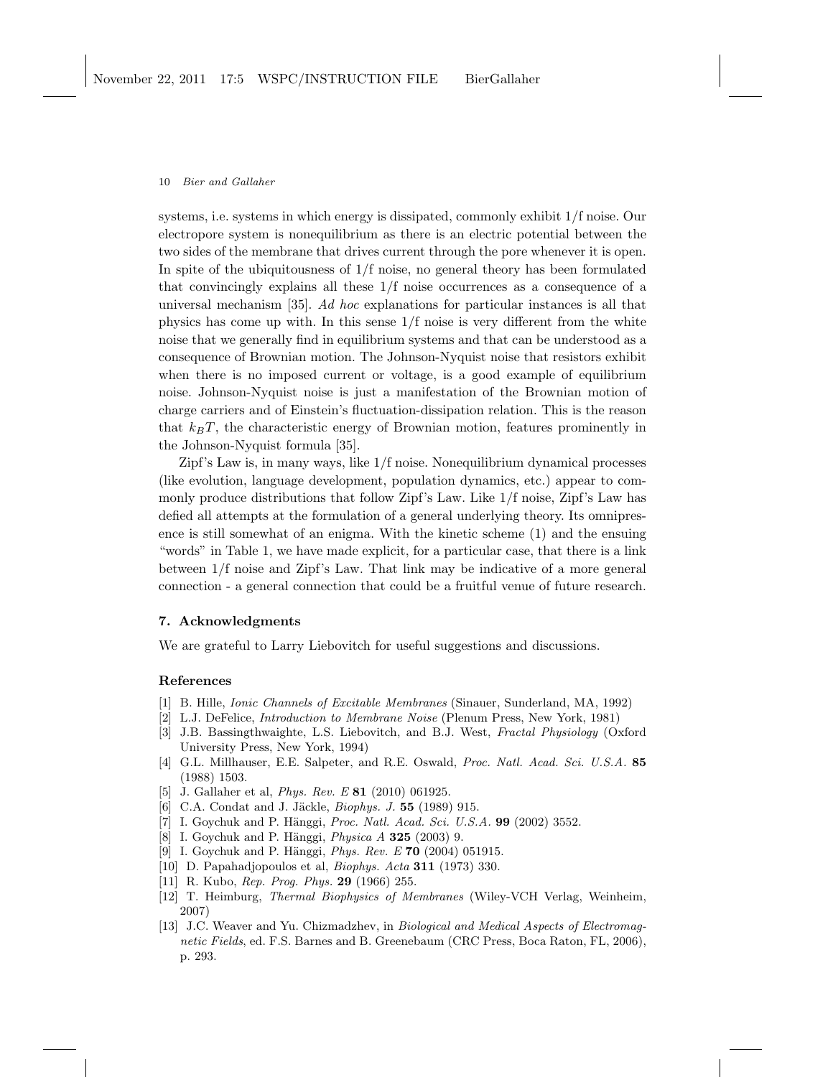systems, i.e. systems in which energy is dissipated, commonly exhibit 1/f noise. Our electropore system is nonequilibrium as there is an electric potential between the two sides of the membrane that drives current through the pore whenever it is open. In spite of the ubiquitousness of  $1/f$  noise, no general theory has been formulated that convincingly explains all these 1/f noise occurrences as a consequence of a universal mechanism [35]. Ad hoc explanations for particular instances is all that physics has come up with. In this sense 1/f noise is very different from the white noise that we generally find in equilibrium systems and that can be understood as a consequence of Brownian motion. The Johnson-Nyquist noise that resistors exhibit when there is no imposed current or voltage, is a good example of equilibrium noise. Johnson-Nyquist noise is just a manifestation of the Brownian motion of charge carriers and of Einstein's fluctuation-dissipation relation. This is the reason that  $k_BT$ , the characteristic energy of Brownian motion, features prominently in the Johnson-Nyquist formula [35].

Zipf's Law is, in many ways, like 1/f noise. Nonequilibrium dynamical processes (like evolution, language development, population dynamics, etc.) appear to commonly produce distributions that follow Zipf's Law. Like 1/f noise, Zipf's Law has defied all attempts at the formulation of a general underlying theory. Its omnipresence is still somewhat of an enigma. With the kinetic scheme (1) and the ensuing "words" in Table 1, we have made explicit, for a particular case, that there is a link between 1/f noise and Zipf's Law. That link may be indicative of a more general connection - a general connection that could be a fruitful venue of future research.

# 7. Acknowledgments

We are grateful to Larry Liebovitch for useful suggestions and discussions.

### References

- [1] B. Hille, Ionic Channels of Excitable Membranes (Sinauer, Sunderland, MA, 1992)
- [2] L.J. DeFelice, Introduction to Membrane Noise (Plenum Press, New York, 1981)
- [3] J.B. Bassingthwaighte, L.S. Liebovitch, and B.J. West, Fractal Physiology (Oxford University Press, New York, 1994)
- [4] G.L. Millhauser, E.E. Salpeter, and R.E. Oswald, Proc. Natl. Acad. Sci. U.S.A. 85 (1988) 1503.
- [5] J. Gallaher et al, Phys. Rev. E 81 (2010) 061925.
- [6] C.A. Condat and J. Jäckle, *Biophys. J.* 55 (1989) 915.
- [7] I. Goychuk and P. Hänggi, *Proc. Natl. Acad. Sci. U.S.A.* **99** (2002) 3552.
- [8] I. Goychuk and P. Hänggi, *Physica A* **325** (2003) 9.
- [9] I. Goychuk and P. Hänggi, *Phys. Rev. E* 70 (2004) 051915.
- [10] D. Papahadjopoulos et al, Biophys. Acta 311 (1973) 330.
- [11] R. Kubo, *Rep. Prog. Phys.* **29** (1966) 255.
- [12] T. Heimburg, Thermal Biophysics of Membranes (Wiley-VCH Verlag, Weinheim, 2007)
- [13] J.C. Weaver and Yu. Chizmadzhev, in Biological and Medical Aspects of Electromagnetic Fields, ed. F.S. Barnes and B. Greenebaum (CRC Press, Boca Raton, FL, 2006), p. 293.